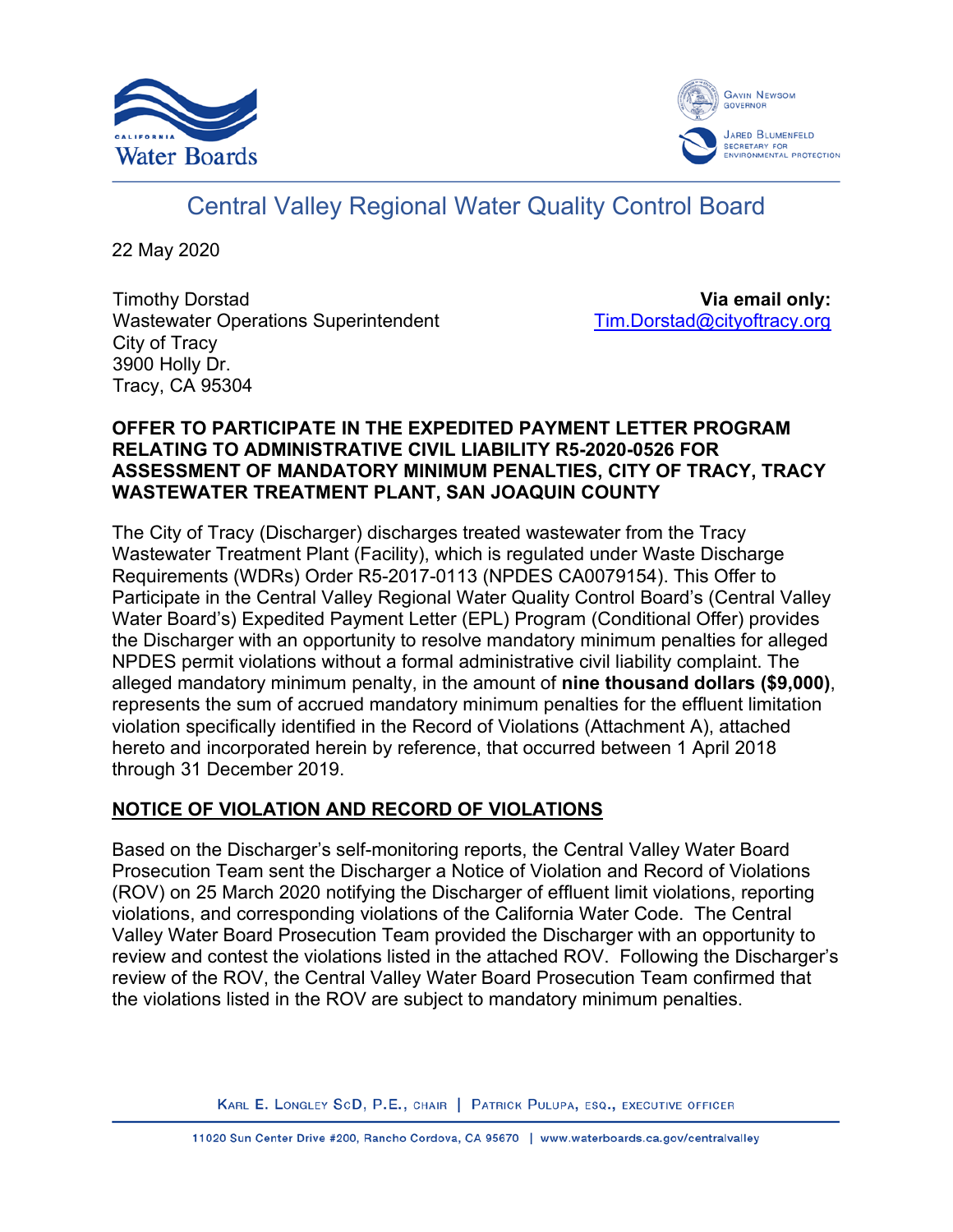



# Central Valley Regional Water Quality Control Board

22 May 2020

Timothy Dorstad Wastewater Operations Superintendent City of Tracy 3900 Holly Dr. Tracy, CA 95304

**Via email only:** [Tim.Dorstad@cityoftracy.org](mailto:Tim.Dorstad@cityoftracy.org)

# **OFFER TO PARTICIPATE IN THE EXPEDITED PAYMENT LETTER PROGRAM RELATING TO ADMINISTRATIVE CIVIL LIABILITY R5-2020-0526 FOR ASSESSMENT OF MANDATORY MINIMUM PENALTIES, CITY OF TRACY, TRACY WASTEWATER TREATMENT PLANT, SAN JOAQUIN COUNTY**

The City of Tracy (Discharger) discharges treated wastewater from the Tracy Wastewater Treatment Plant (Facility), which is regulated under Waste Discharge Requirements (WDRs) Order R5-2017-0113 (NPDES CA0079154). This Offer to Participate in the Central Valley Regional Water Quality Control Board's (Central Valley Water Board's) Expedited Payment Letter (EPL) Program (Conditional Offer) provides the Discharger with an opportunity to resolve mandatory minimum penalties for alleged NPDES permit violations without a formal administrative civil liability complaint. The alleged mandatory minimum penalty, in the amount of **nine thousand dollars (\$9,000)**, represents the sum of accrued mandatory minimum penalties for the effluent limitation violation specifically identified in the Record of Violations (Attachment A), attached hereto and incorporated herein by reference, that occurred between 1 April 2018 through 31 December 2019.

# **NOTICE OF VIOLATION AND RECORD OF VIOLATIONS**

Based on the Discharger's self-monitoring reports, the Central Valley Water Board Prosecution Team sent the Discharger a Notice of Violation and Record of Violations (ROV) on 25 March 2020 notifying the Discharger of effluent limit violations, reporting violations, and corresponding violations of the California Water Code. The Central Valley Water Board Prosecution Team provided the Discharger with an opportunity to review and contest the violations listed in the attached ROV. Following the Discharger's review of the ROV, the Central Valley Water Board Prosecution Team confirmed that the violations listed in the ROV are subject to mandatory minimum penalties.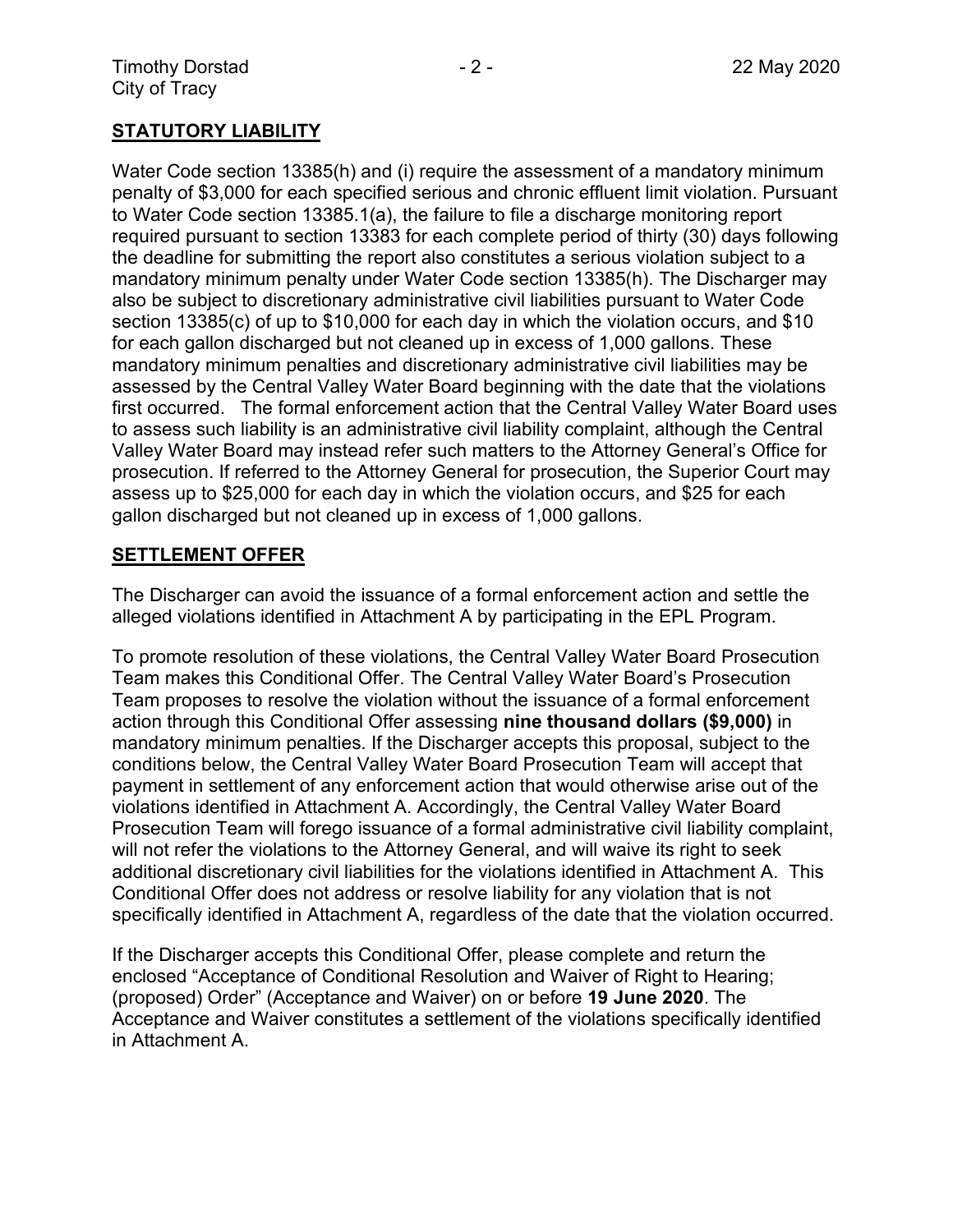# **STATUTORY LIABILITY**

Water Code section 13385(h) and (i) require the assessment of a mandatory minimum penalty of \$3,000 for each specified serious and chronic effluent limit violation. Pursuant to Water Code section 13385.1(a), the failure to file a discharge monitoring report required pursuant to section 13383 for each complete period of thirty (30) days following the deadline for submitting the report also constitutes a serious violation subject to a mandatory minimum penalty under Water Code section 13385(h). The Discharger may also be subject to discretionary administrative civil liabilities pursuant to Water Code section 13385(c) of up to \$10,000 for each day in which the violation occurs, and \$10 for each gallon discharged but not cleaned up in excess of 1,000 gallons. These mandatory minimum penalties and discretionary administrative civil liabilities may be assessed by the Central Valley Water Board beginning with the date that the violations first occurred. The formal enforcement action that the Central Valley Water Board uses to assess such liability is an administrative civil liability complaint, although the Central Valley Water Board may instead refer such matters to the Attorney General's Office for prosecution. If referred to the Attorney General for prosecution, the Superior Court may assess up to \$25,000 for each day in which the violation occurs, and \$25 for each gallon discharged but not cleaned up in excess of 1,000 gallons.

### **SETTLEMENT OFFER**

The Discharger can avoid the issuance of a formal enforcement action and settle the alleged violations identified in Attachment A by participating in the EPL Program.

To promote resolution of these violations, the Central Valley Water Board Prosecution Team makes this Conditional Offer. The Central Valley Water Board's Prosecution Team proposes to resolve the violation without the issuance of a formal enforcement action through this Conditional Offer assessing **nine thousand dollars (\$9,000)** in mandatory minimum penalties. If the Discharger accepts this proposal, subject to the conditions below, the Central Valley Water Board Prosecution Team will accept that payment in settlement of any enforcement action that would otherwise arise out of the violations identified in Attachment A. Accordingly, the Central Valley Water Board Prosecution Team will forego issuance of a formal administrative civil liability complaint, will not refer the violations to the Attorney General, and will waive its right to seek additional discretionary civil liabilities for the violations identified in Attachment A. This Conditional Offer does not address or resolve liability for any violation that is not specifically identified in Attachment A, regardless of the date that the violation occurred.

If the Discharger accepts this Conditional Offer, please complete and return the enclosed "Acceptance of Conditional Resolution and Waiver of Right to Hearing; (proposed) Order" (Acceptance and Waiver) on or before **19 June 2020**. The Acceptance and Waiver constitutes a settlement of the violations specifically identified in Attachment A.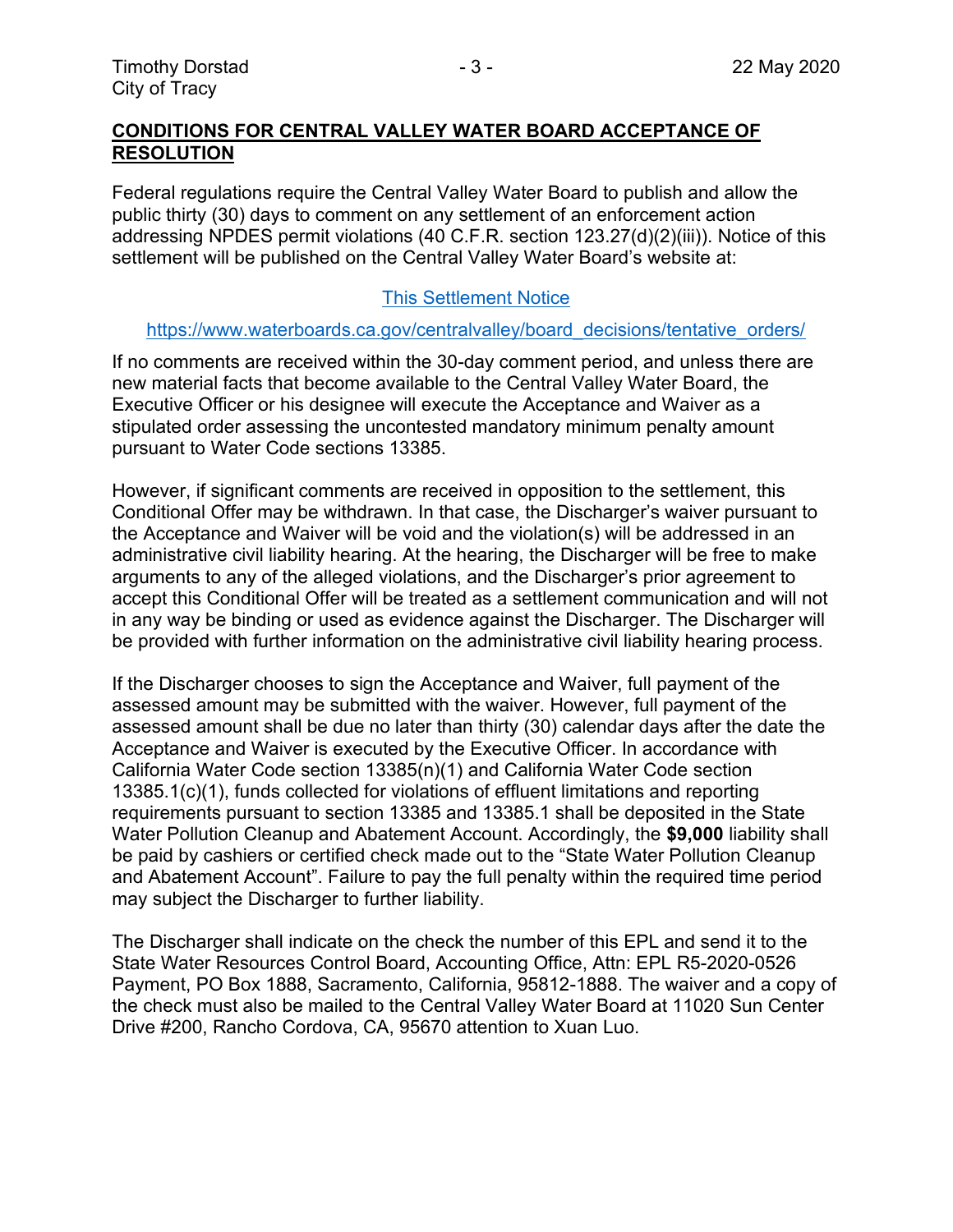## **CONDITIONS FOR CENTRAL VALLEY WATER BOARD ACCEPTANCE OF RESOLUTION**

Federal regulations require the Central Valley Water Board to publish and allow the public thirty (30) days to comment on any settlement of an enforcement action addressing NPDES permit violations (40 C.F.R. section 123.27(d)(2)(iii)). Notice of this settlement will be published on the Central Valley Water Board's website at:

## [This Settlement Notice](https://www.waterboards.ca.gov/centralvalley/board_decisions/tentative_orders/)

#### [https://www.waterboards.ca.gov/centralvalley/board\\_decisions/tentative\\_orders/](https://www.waterboards.ca.gov/centralvalley/board_decisions/tentative_orders/)

If no comments are received within the 30-day comment period, and unless there are new material facts that become available to the Central Valley Water Board, the Executive Officer or his designee will execute the Acceptance and Waiver as a stipulated order assessing the uncontested mandatory minimum penalty amount pursuant to Water Code sections 13385.

However, if significant comments are received in opposition to the settlement, this Conditional Offer may be withdrawn. In that case, the Discharger's waiver pursuant to the Acceptance and Waiver will be void and the violation(s) will be addressed in an administrative civil liability hearing. At the hearing, the Discharger will be free to make arguments to any of the alleged violations, and the Discharger's prior agreement to accept this Conditional Offer will be treated as a settlement communication and will not in any way be binding or used as evidence against the Discharger. The Discharger will be provided with further information on the administrative civil liability hearing process.

If the Discharger chooses to sign the Acceptance and Waiver, full payment of the assessed amount may be submitted with the waiver. However, full payment of the assessed amount shall be due no later than thirty (30) calendar days after the date the Acceptance and Waiver is executed by the Executive Officer. In accordance with California Water Code section 13385(n)(1) and California Water Code section 13385.1(c)(1), funds collected for violations of effluent limitations and reporting requirements pursuant to section 13385 and 13385.1 shall be deposited in the State Water Pollution Cleanup and Abatement Account. Accordingly, the **\$9,000** liability shall be paid by cashiers or certified check made out to the "State Water Pollution Cleanup and Abatement Account". Failure to pay the full penalty within the required time period may subject the Discharger to further liability.

The Discharger shall indicate on the check the number of this EPL and send it to the State Water Resources Control Board, Accounting Office, Attn: EPL R5-2020-0526 Payment, PO Box 1888, Sacramento, California, 95812-1888. The waiver and a copy of the check must also be mailed to the Central Valley Water Board at 11020 Sun Center Drive #200, Rancho Cordova, CA, 95670 attention to Xuan Luo.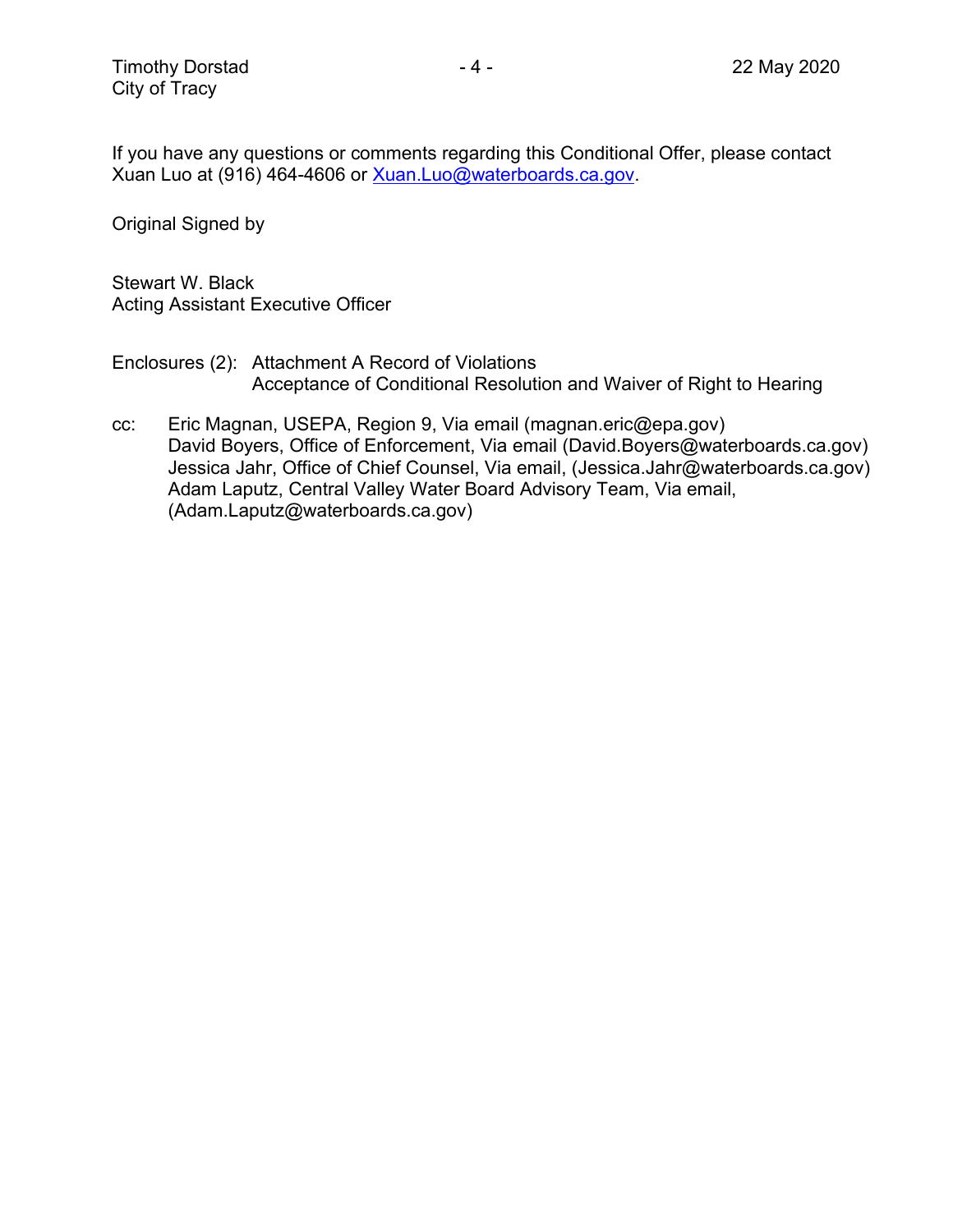If you have any questions or comments regarding this Conditional Offer, please contact Xuan Luo at (916) 464-4606 or [Xuan.Luo@waterboards.ca.gov.](mailto:Xuan.Luo@waterboards.ca.gov)

Original Signed by

Stewart W. Black Acting Assistant Executive Officer

Enclosures (2): Attachment A Record of Violations Acceptance of Conditional Resolution and Waiver of Right to Hearing

cc: Eric Magnan, USEPA, Region 9, Via email (magnan.eric@epa.gov) David Boyers, Office of Enforcement, Via email (David.Boyers@waterboards.ca.gov) Jessica Jahr, Office of Chief Counsel, Via email, (Jessica.Jahr@waterboards.ca.gov) Adam Laputz, Central Valley Water Board Advisory Team, Via email, (Adam.Laputz@waterboards.ca.gov)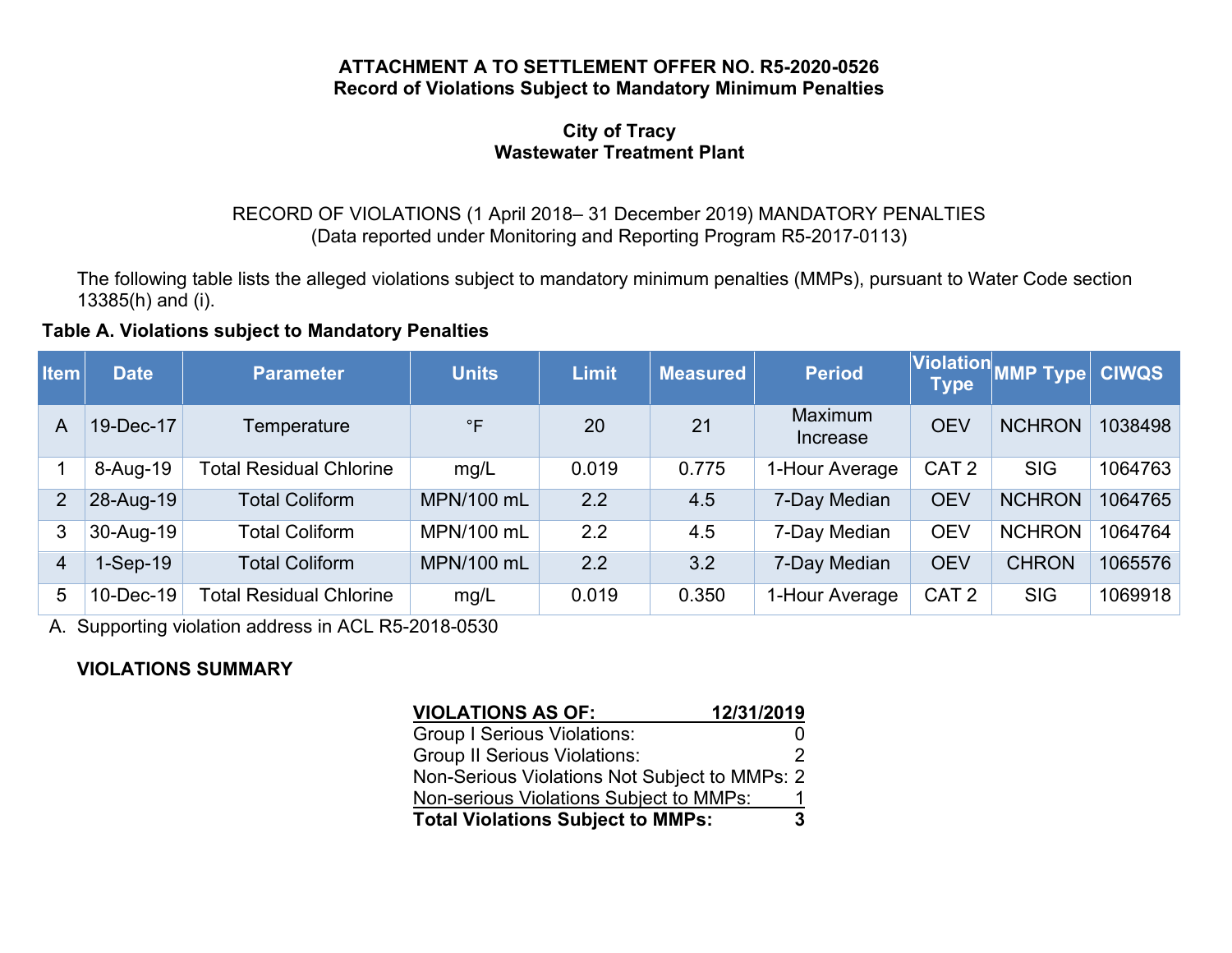#### **ATTACHMENT A TO SETTLEMENT OFFER NO. R5-2020-0526 Record of Violations Subject to Mandatory Minimum Penalties**

#### **City of Tracy Wastewater Treatment Plant**

# RECORD OF VIOLATIONS (1 April 2018– 31 December 2019) MANDATORY PENALTIES (Data reported under Monitoring and Reporting Program R5-2017-0113)

The following table lists the alleged violations subject to mandatory minimum penalties (MMPs), pursuant to Water Code section 13385(h) and (i).

## **Table A. Violations subject to Mandatory Penalties**

| <b>Item</b>    | <b>Date</b> | <b>Parameter</b>               | <b>Units</b>      | <b>Limit</b> | Measured | <b>Period</b>       | <b>Type</b>      | Violation MMP Type | <b>CIWQS</b> |
|----------------|-------------|--------------------------------|-------------------|--------------|----------|---------------------|------------------|--------------------|--------------|
| A              | 19-Dec-17   | Temperature                    | $\mathsf{P}$      | 20           | 21       | Maximum<br>Increase | <b>OEV</b>       | <b>NCHRON</b>      | 1038498      |
|                | 8-Aug-19    | <b>Total Residual Chlorine</b> | mg/L              | 0.019        | 0.775    | 1-Hour Average      | CAT <sub>2</sub> | <b>SIG</b>         | 1064763      |
| $\overline{2}$ | 28-Aug-19   | <b>Total Coliform</b>          | <b>MPN/100 mL</b> | 2.2          | 4.5      | 7-Day Median        | <b>OEV</b>       | <b>NCHRON</b>      | 1064765      |
| 3              | 30-Aug-19   | <b>Total Coliform</b>          | MPN/100 mL        | 2.2          | 4.5      | 7-Day Median        | <b>OEV</b>       | <b>NCHRON</b>      | 1064764      |
| 4              | $1-Sep-19$  | <b>Total Coliform</b>          | <b>MPN/100 mL</b> | 2.2          | 3.2      | 7-Day Median        | <b>OEV</b>       | <b>CHRON</b>       | 1065576      |
| 5              | 10-Dec-19   | <b>Total Residual Chlorine</b> | mg/L              | 0.019        | 0.350    | 1-Hour Average      | CAT <sub>2</sub> | <b>SIG</b>         | 1069918      |

A. Supporting violation address in ACL R5-2018-0530

# **VIOLATIONS SUMMARY**

| <b>VIOLATIONS AS OF:</b>                      | 12/31/2019 |
|-----------------------------------------------|------------|
| <b>Group I Serious Violations:</b>            |            |
| <b>Group II Serious Violations:</b>           |            |
| Non-Serious Violations Not Subject to MMPs: 2 |            |
| Non-serious Violations Subject to MMPs:       |            |
| <b>Total Violations Subject to MMPs:</b>      | 3          |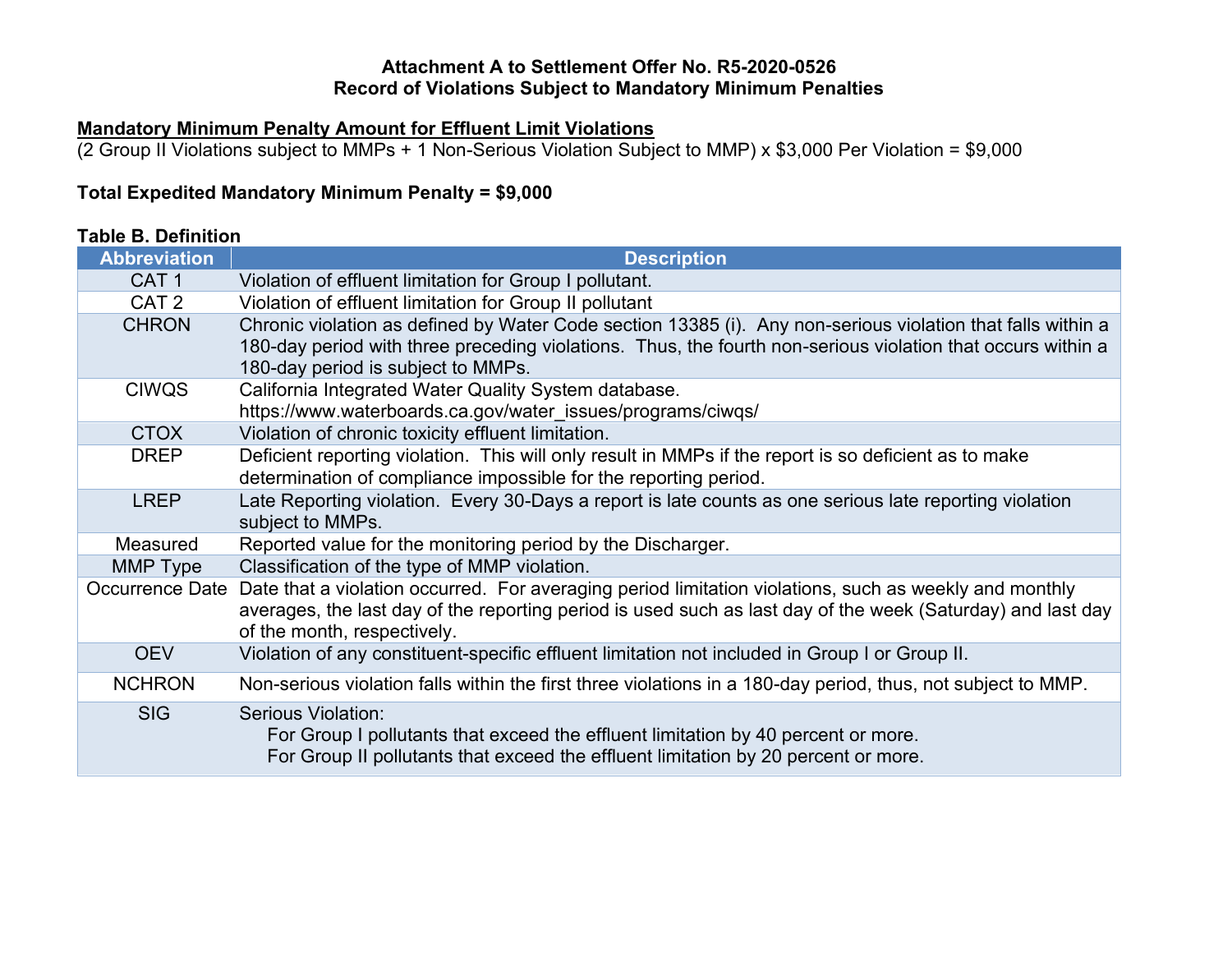# **Attachment A to Settlement Offer No. R5-2020-0526 Record of Violations Subject to Mandatory Minimum Penalties**

# **Mandatory Minimum Penalty Amount for Effluent Limit Violations**

(2 Group II Violations subject to MMPs + 1 Non-Serious Violation Subject to MMP) x \$3,000 Per Violation = \$9,000

# **Total Expedited Mandatory Minimum Penalty = \$9,000**

# **Table B. Definition**

| <b>Abbreviation</b> | <b>Description</b>                                                                                                                                                                                                                                               |  |  |  |
|---------------------|------------------------------------------------------------------------------------------------------------------------------------------------------------------------------------------------------------------------------------------------------------------|--|--|--|
| CAT <sub>1</sub>    | Violation of effluent limitation for Group I pollutant.                                                                                                                                                                                                          |  |  |  |
| CAT <sub>2</sub>    | Violation of effluent limitation for Group II pollutant                                                                                                                                                                                                          |  |  |  |
| <b>CHRON</b>        | Chronic violation as defined by Water Code section 13385 (i). Any non-serious violation that falls within a<br>180-day period with three preceding violations. Thus, the fourth non-serious violation that occurs within a<br>180-day period is subject to MMPs. |  |  |  |
| <b>CIWQS</b>        | California Integrated Water Quality System database.                                                                                                                                                                                                             |  |  |  |
|                     | https://www.waterboards.ca.gov/water_issues/programs/ciwqs/                                                                                                                                                                                                      |  |  |  |
| <b>CTOX</b>         | Violation of chronic toxicity effluent limitation.                                                                                                                                                                                                               |  |  |  |
| <b>DREP</b>         | Deficient reporting violation. This will only result in MMPs if the report is so deficient as to make<br>determination of compliance impossible for the reporting period.                                                                                        |  |  |  |
| <b>LREP</b>         | Late Reporting violation. Every 30-Days a report is late counts as one serious late reporting violation<br>subject to MMPs.                                                                                                                                      |  |  |  |
| Measured            | Reported value for the monitoring period by the Discharger.                                                                                                                                                                                                      |  |  |  |
| MMP Type            | Classification of the type of MMP violation.                                                                                                                                                                                                                     |  |  |  |
| Occurrence Date     | Date that a violation occurred. For averaging period limitation violations, such as weekly and monthly<br>averages, the last day of the reporting period is used such as last day of the week (Saturday) and last day<br>of the month, respectively.             |  |  |  |
| <b>OEV</b>          | Violation of any constituent-specific effluent limitation not included in Group I or Group II.                                                                                                                                                                   |  |  |  |
| <b>NCHRON</b>       | Non-serious violation falls within the first three violations in a 180-day period, thus, not subject to MMP.                                                                                                                                                     |  |  |  |
| <b>SIG</b>          | Serious Violation:<br>For Group I pollutants that exceed the effluent limitation by 40 percent or more.<br>For Group II pollutants that exceed the effluent limitation by 20 percent or more.                                                                    |  |  |  |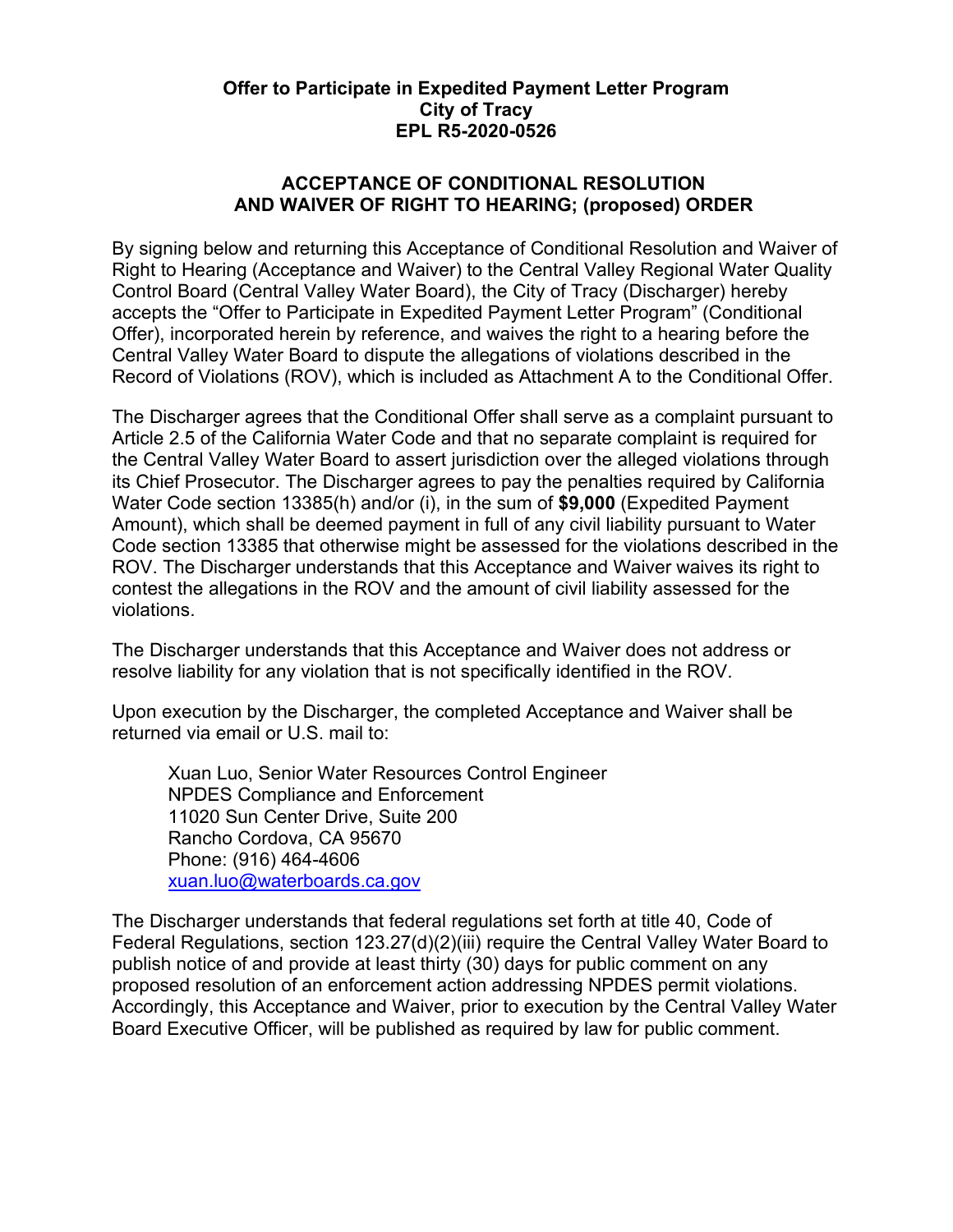## **Offer to Participate in Expedited Payment Letter Program City of Tracy EPL R5-2020-0526**

## **ACCEPTANCE OF CONDITIONAL RESOLUTION AND WAIVER OF RIGHT TO HEARING; (proposed) ORDER**

By signing below and returning this Acceptance of Conditional Resolution and Waiver of Right to Hearing (Acceptance and Waiver) to the Central Valley Regional Water Quality Control Board (Central Valley Water Board), the City of Tracy (Discharger) hereby accepts the "Offer to Participate in Expedited Payment Letter Program" (Conditional Offer), incorporated herein by reference, and waives the right to a hearing before the Central Valley Water Board to dispute the allegations of violations described in the Record of Violations (ROV), which is included as Attachment A to the Conditional Offer.

The Discharger agrees that the Conditional Offer shall serve as a complaint pursuant to Article 2.5 of the California Water Code and that no separate complaint is required for the Central Valley Water Board to assert jurisdiction over the alleged violations through its Chief Prosecutor. The Discharger agrees to pay the penalties required by California Water Code section 13385(h) and/or (i), in the sum of **\$9,000** (Expedited Payment Amount), which shall be deemed payment in full of any civil liability pursuant to Water Code section 13385 that otherwise might be assessed for the violations described in the ROV. The Discharger understands that this Acceptance and Waiver waives its right to contest the allegations in the ROV and the amount of civil liability assessed for the violations.

The Discharger understands that this Acceptance and Waiver does not address or resolve liability for any violation that is not specifically identified in the ROV.

Upon execution by the Discharger, the completed Acceptance and Waiver shall be returned via email or U.S. mail to:

Xuan Luo, Senior Water Resources Control Engineer NPDES Compliance and Enforcement 11020 Sun Center Drive, Suite 200 Rancho Cordova, CA 95670 Phone: (916) 464-4606 [xuan.luo@waterboards.ca.gov](mailto:xuan.luo@waterboards.ca.gov)

The Discharger understands that federal regulations set forth at title 40, Code of Federal Regulations, section 123.27(d)(2)(iii) require the Central Valley Water Board to publish notice of and provide at least thirty (30) days for public comment on any proposed resolution of an enforcement action addressing NPDES permit violations. Accordingly, this Acceptance and Waiver, prior to execution by the Central Valley Water Board Executive Officer, will be published as required by law for public comment.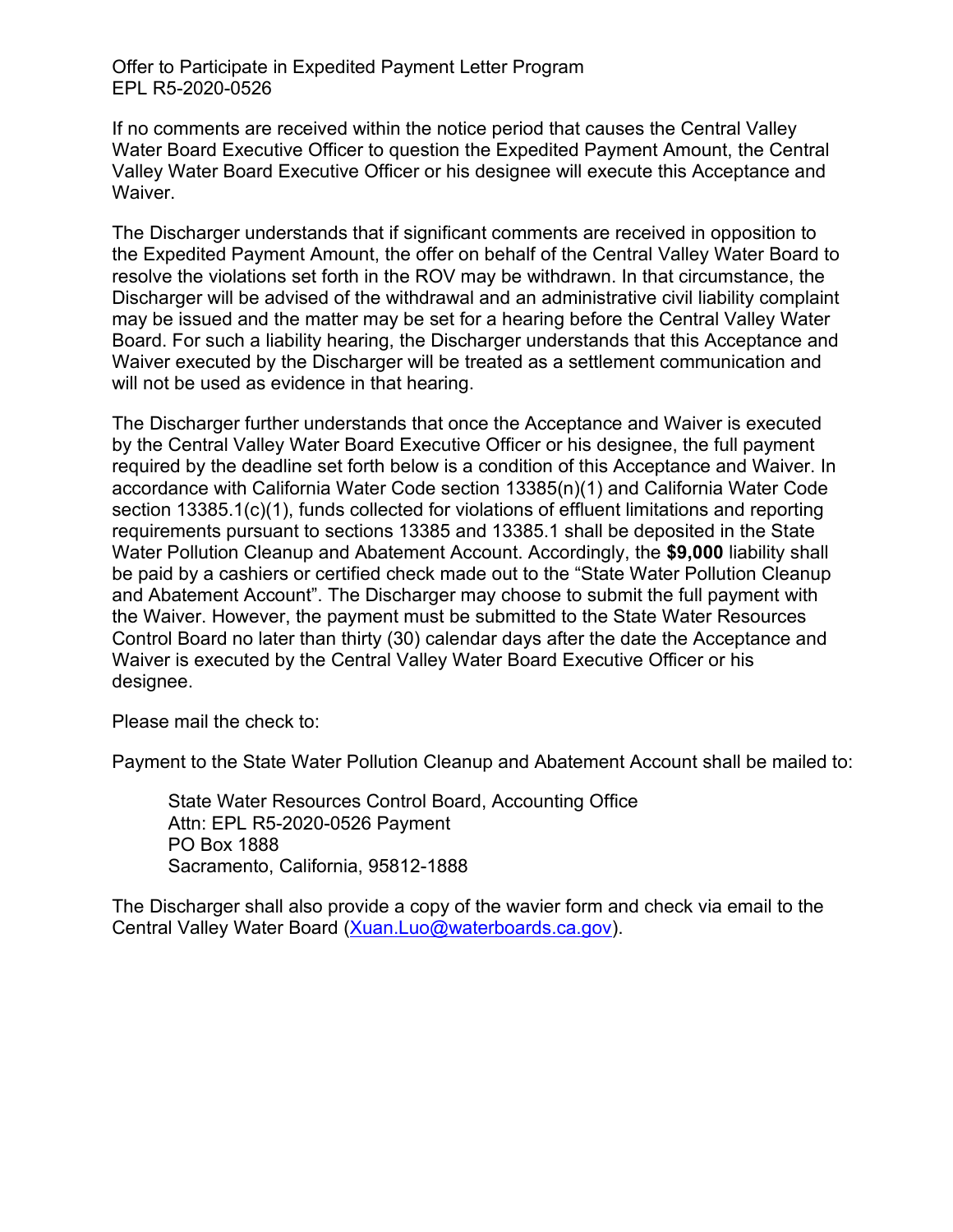Offer to Participate in Expedited Payment Letter Program EPL R5-2020-0526

If no comments are received within the notice period that causes the Central Valley Water Board Executive Officer to question the Expedited Payment Amount, the Central Valley Water Board Executive Officer or his designee will execute this Acceptance and Waiver.

The Discharger understands that if significant comments are received in opposition to the Expedited Payment Amount, the offer on behalf of the Central Valley Water Board to resolve the violations set forth in the ROV may be withdrawn. In that circumstance, the Discharger will be advised of the withdrawal and an administrative civil liability complaint may be issued and the matter may be set for a hearing before the Central Valley Water Board. For such a liability hearing, the Discharger understands that this Acceptance and Waiver executed by the Discharger will be treated as a settlement communication and will not be used as evidence in that hearing.

The Discharger further understands that once the Acceptance and Waiver is executed by the Central Valley Water Board Executive Officer or his designee, the full payment required by the deadline set forth below is a condition of this Acceptance and Waiver. In accordance with California Water Code section 13385(n)(1) and California Water Code section 13385.1(c)(1), funds collected for violations of effluent limitations and reporting requirements pursuant to sections 13385 and 13385.1 shall be deposited in the State Water Pollution Cleanup and Abatement Account. Accordingly, the **\$9,000** liability shall be paid by a cashiers or certified check made out to the "State Water Pollution Cleanup and Abatement Account". The Discharger may choose to submit the full payment with the Waiver. However, the payment must be submitted to the State Water Resources Control Board no later than thirty (30) calendar days after the date the Acceptance and Waiver is executed by the Central Valley Water Board Executive Officer or his designee.

Please mail the check to:

Payment to the State Water Pollution Cleanup and Abatement Account shall be mailed to:

State Water Resources Control Board, Accounting Office Attn: EPL R5-2020-0526 Payment PO Box 1888 Sacramento, California, 95812-1888

The Discharger shall also provide a copy of the wavier form and check via email to the Central Valley Water Board ([Xuan.Luo@waterboards.ca.gov](mailto:Xuan.Luo@waterboards.ca.gov)).